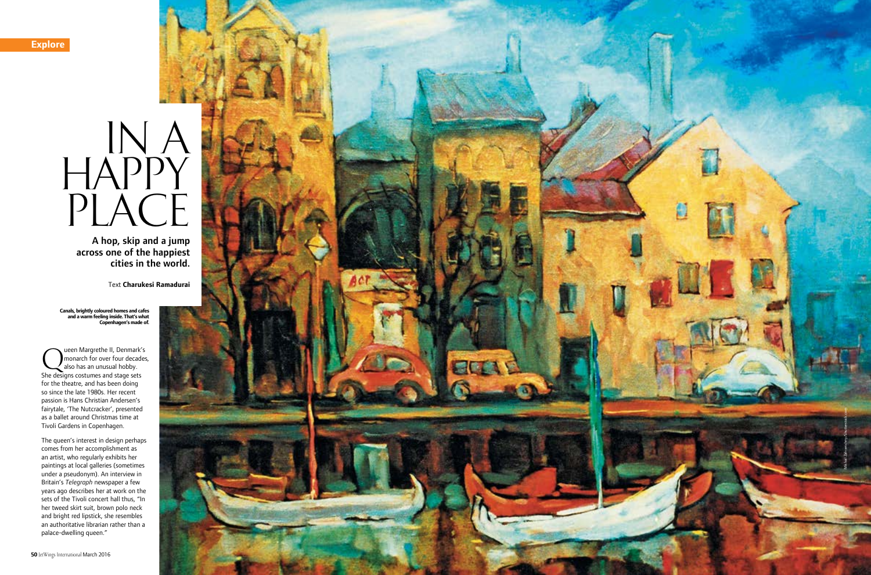

# $INA$ HAPPY PLACE

Leen Margrethe II, Denmark's<br>also has an unusual hobby.<br>She designs costumes and stage sets monarch for over four decades, also has an unusual hobby. She designs costumes and stage sets for the theatre, and has been doing so since the late 1980s. Her recent passion is Hans Christian Andersen's fairytale, 'The Nutcracker', presented as a ballet around Christmas time at Tivoli Gardens in Copenhagen.

The queen's interest in design perhaps comes from her accomplishment as an artist, who regularly exhibits her paintings at local galleries (sometimes under a pseudonym). An interview in Britain's *Telegraph* newspaper a few years ago describes her at work on the sets of the Tivoli concert hall thus, "In her tweed skirt suit, brown polo neck and bright red lipstick, she resembles an authoritative librarian rather than a palace-dwelling queen."

A hop, skip and a jump across one of the happiest cities in the world.

Text **Charukesi Ramadurai**

**Canals, brightly coloured homes and cafes and a warm feeling inside. That's what Copenhagen's made of.**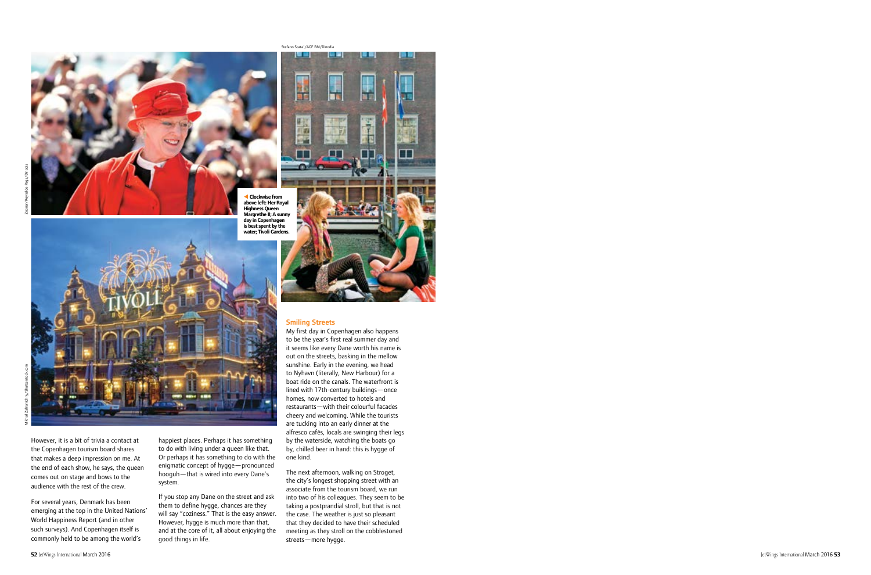

t **Clockwise from above left: Her Royal Highness Queen Margrethe II; A sunny day in Copenhagen is best spent by the water; Tivoli Gardens.**



However, it is a bit of trivia a contact at the Copenhagen tourism board shares that makes a deep impression on me. At the end of each show, he says, the queen comes out on stage and bows to the audience with the rest of the crew.

For several years, Denmark has been emerging at the top in the United Nations' World Happiness Report (and in other such surveys). And Copenhagen itself is commonly held to be among the world's

happiest places. Perhaps it has something to do with living under a queen like that. Or perhaps it has something to do with the enigmatic concept of hygge—pronounced hooguh—that is wired into every Dane's system.

If you stop any Dane on the street and ask them to define hygge, chances are they will say "coziness." That is the easy answer. However, hygge is much more than that, and at the core of it, all about enjoying the good things in life.



# Smiling Streets

Stefano Scata´/AGF RM/Dinodia. .

نی دی

My first day in Copenhagen also happens to be the year's first real summer day and it seems like every Dane worth his name is out on the streets, basking in the mellow sunshine. Early in the evening, we head to Nyhavn (literally, New Harbour) for a boat ride on the canals. The waterfront is lined with 17th-century buildings—once homes, now converted to hotels and restaurants—with their colourful facades cheery and welcoming. While the tourists are tucking into an early dinner at the alfresco cafés, locals are swinging their legs by the waterside, watching the boats go by, chilled beer in hand: this is hygge of one kind.

The next afternoon, walking on Stroget, the city's longest shopping street with an associate from the tourism board, we run into two of his colleagues. They seem to be taking a postprandial stroll, but that is not the case. The weather is just so pleasant that they decided to have their scheduled meeting as they stroll on the cobblestoned streets—more hygge.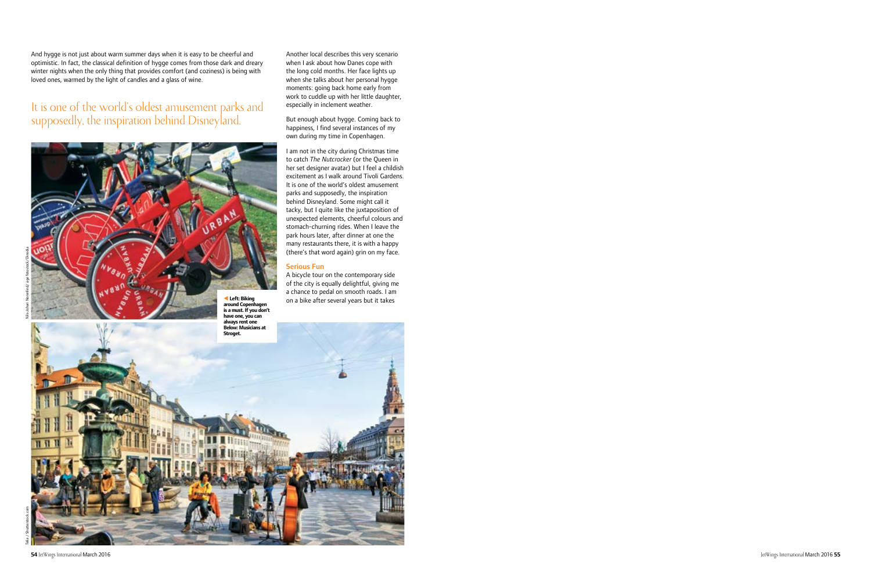And hygge is not just about warm summer days when it is easy to be cheerful and optimistic. In fact, the classical definition of hygge comes from those dark and dreary winter nights when the only thing that provides comfort (and coziness) is being with loved ones, warmed by the light of candles and a glass of wine.

# It is one of the world's oldest amusement parks and supposedly, the inspiration behind Disneyland.



Serious Fun A bicycle tour on the contemporary side of the city is equally delightful, giving me a chance to pedal on smooth roads. I am **Example 26 Left: Biking Left: Biking Left: Biking Left: Biking Left: Biking Left: Biking Left: Biking Left: Biking Left: Biking Left: Biking Left: Biking Left: Biking Left: Biking Left: Biking around Copenhagen is a must. If you don't have one, you can always rent one Below: Musicians at Stroget.**

Another local describes this very scenario when I ask about how Danes cope with the long cold months. Her face lights up when she talks about her personal hygge moments: going back home early from work to cuddle up with her little daughter,

But enough about hygge. Coming back to happiness, I find several instances of my own during my time in Copenhagen.

I am not in the city during Christmas time to catch *The Nutcracker* (or the Queen in her set designer avatar) but I feel a childish excitement as I walk around Tivoli Gardens. It is one of the world's oldest amusement parks and supposedly, the inspiration behind Disneyland. Some might call it tacky, but I quite like the juxtaposition of unexpected elements, cheerful colours and stomach-churning rides. When I leave the park hours later, after dinner at one the many restaurants there, it is with a happy (there's that word again) grin on my face.

especially in inclement weather.